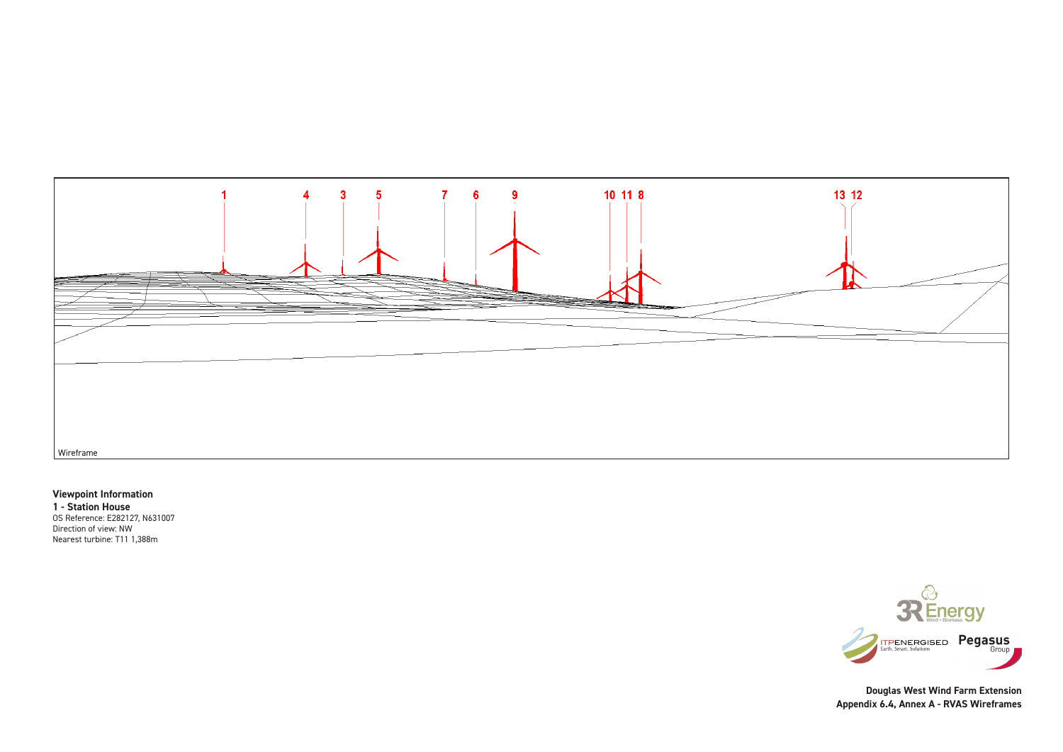## **Viewpoint Information**

**1 - Station House** OS Reference: E282127, N631007 Direction of view: NW Nearest turbine: T11 1,388m



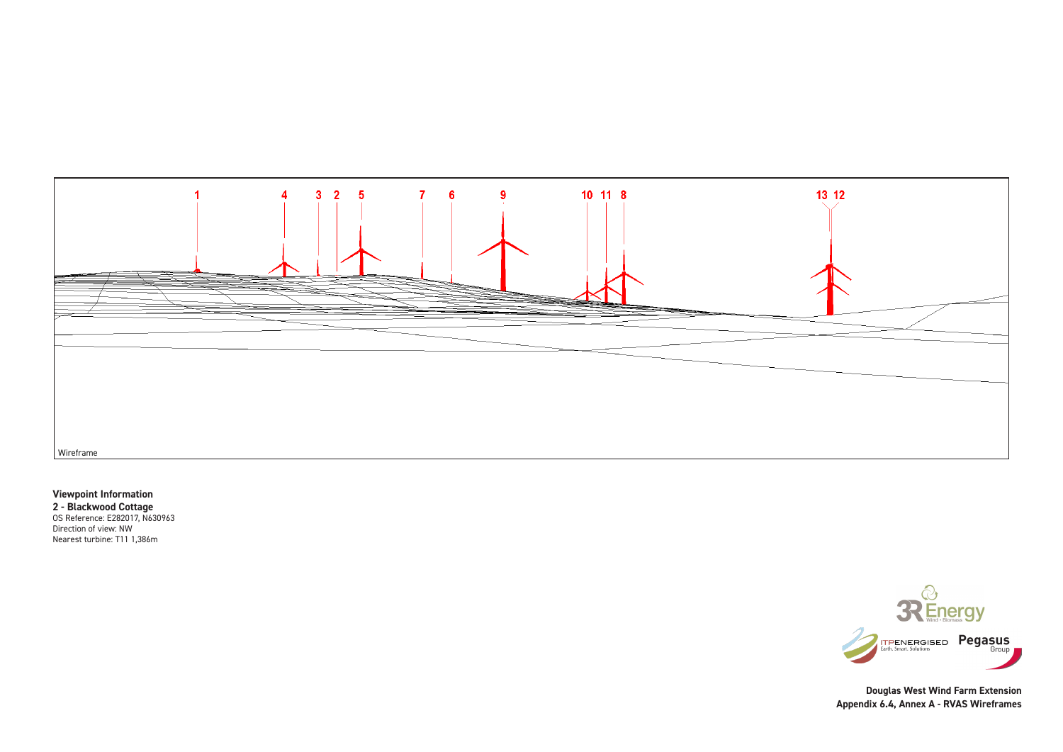## **Viewpoint Information**

**2 - Blackwood Cottage** OS Reference: E282017, N630963 Direction of view: NW Nearest turbine: T11 1,386m



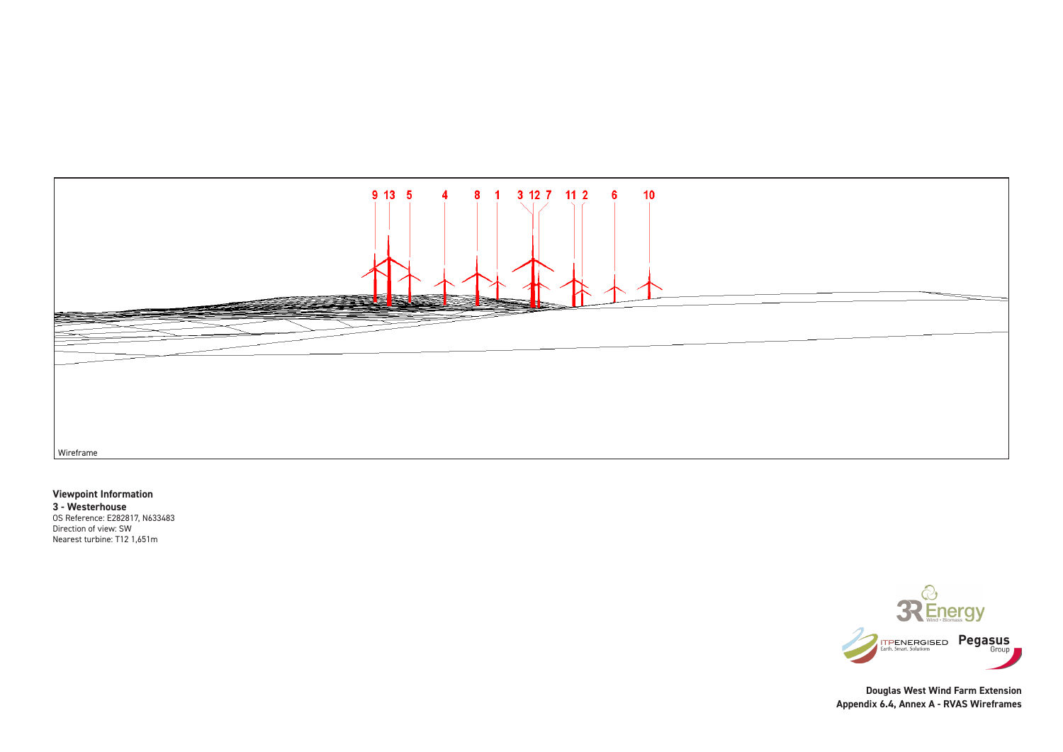## **Viewpoint Information**

**3 - Westerhouse** OS Reference: E282817, N633483 Direction of view: SW Nearest turbine: T12 1,651m



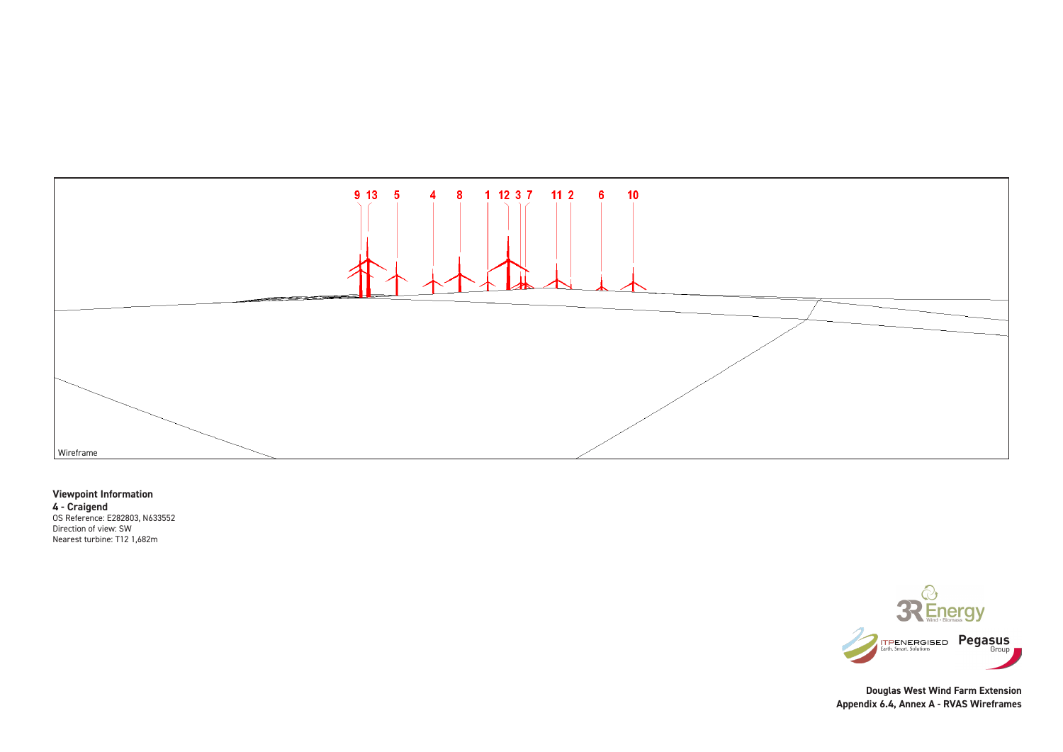# **Viewpoint Information 4 - Craigend**

OS Reference: E282803, N633552 Direction of view: SW Nearest turbine: T12 1,682m



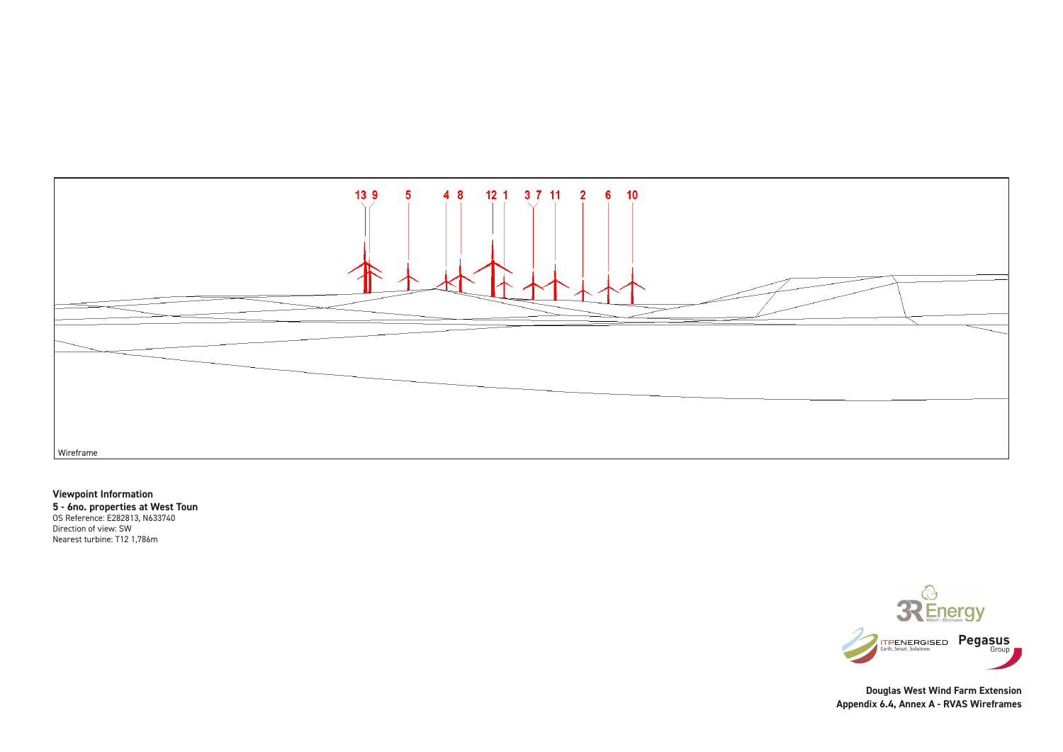## **Viewpoint Information**

**5 - 6no. properties at West Toun** OS Reference: E282813, N633740 Direction of view: SW Nearest turbine: T12 1,786m



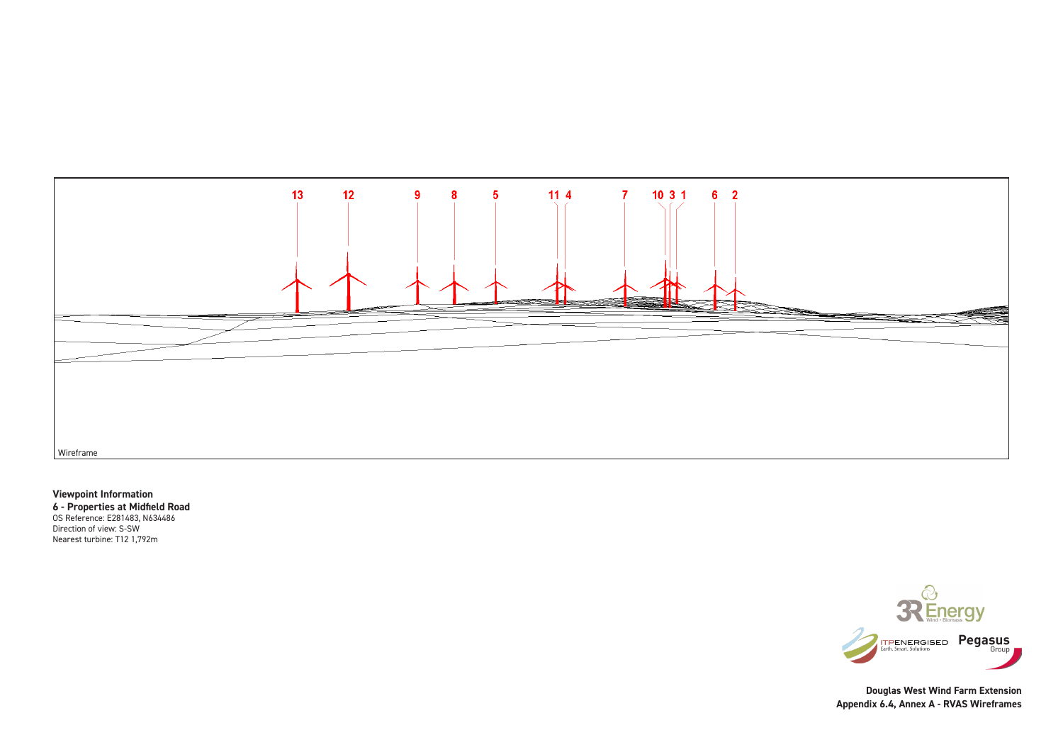**Viewpoint Information 6 - Properties at Midfield Road** OS Reference: E281483, N634486 Direction of view: S-SW Nearest turbine: T12 1,792m



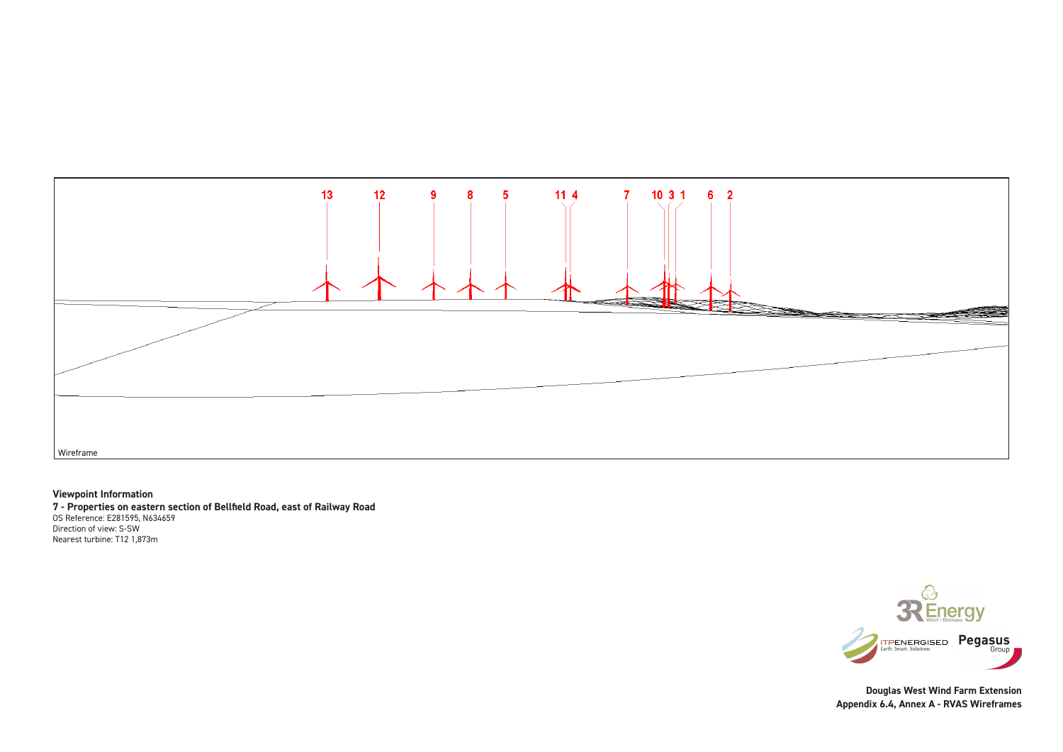## **Viewpoint Information**

**7 - Properties on eastern section of Bellfield Road, east of Railway Road** OS Reference: E281595, N634659 Direction of view: S-SW Nearest turbine: T12 1,873m



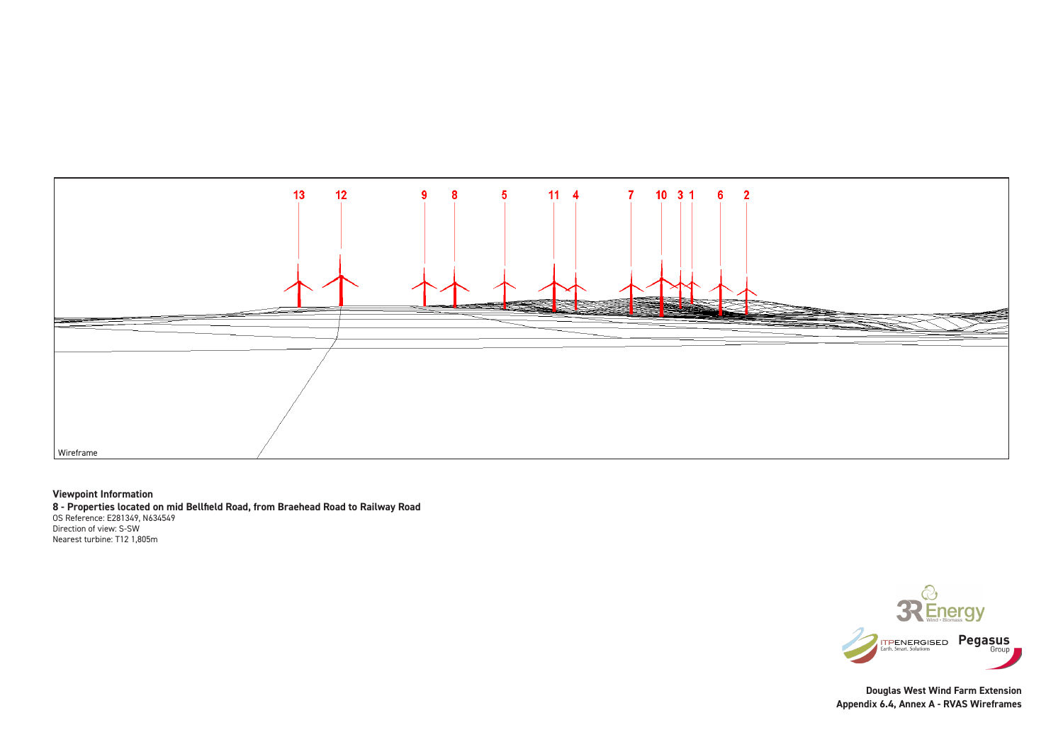#### **Viewpoint Information**

**8 - Properties located on mid Bellfield Road, from Braehead Road to Railway Road** OS Reference: E281349, N634549 Direction of view: S-SW Nearest turbine: T12 1,805m



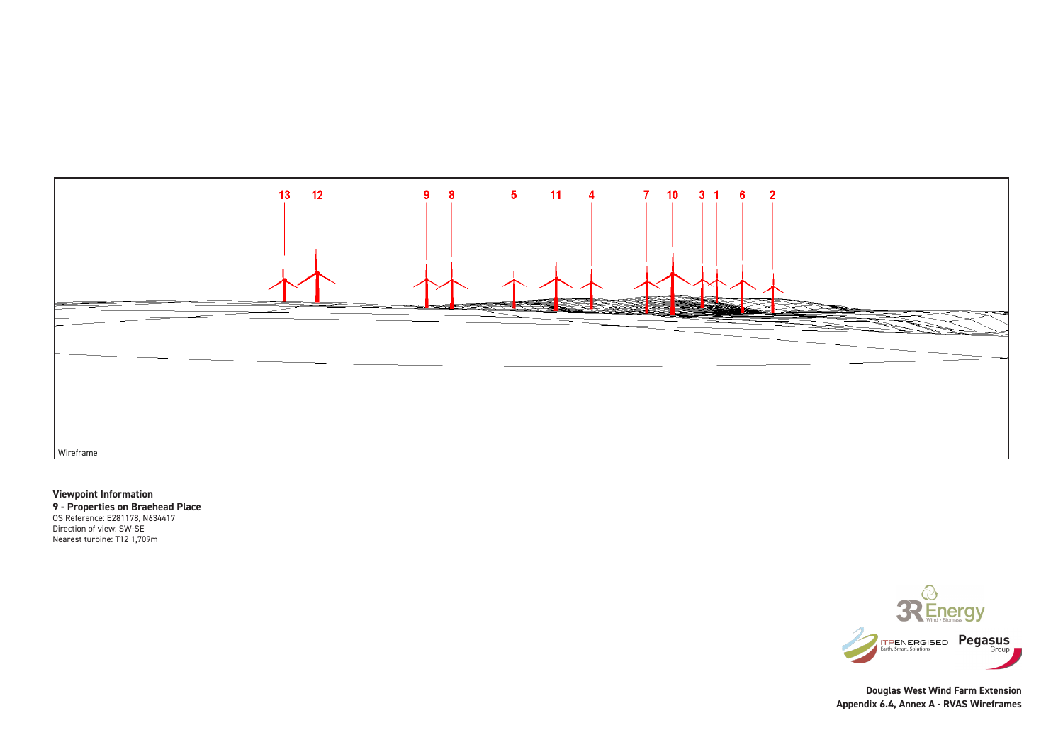## **Viewpoint Information**

**9 - Properties on Braehead Place** OS Reference: E281178, N634417

Direction of view: SW-SE Nearest turbine: T12 1,709m



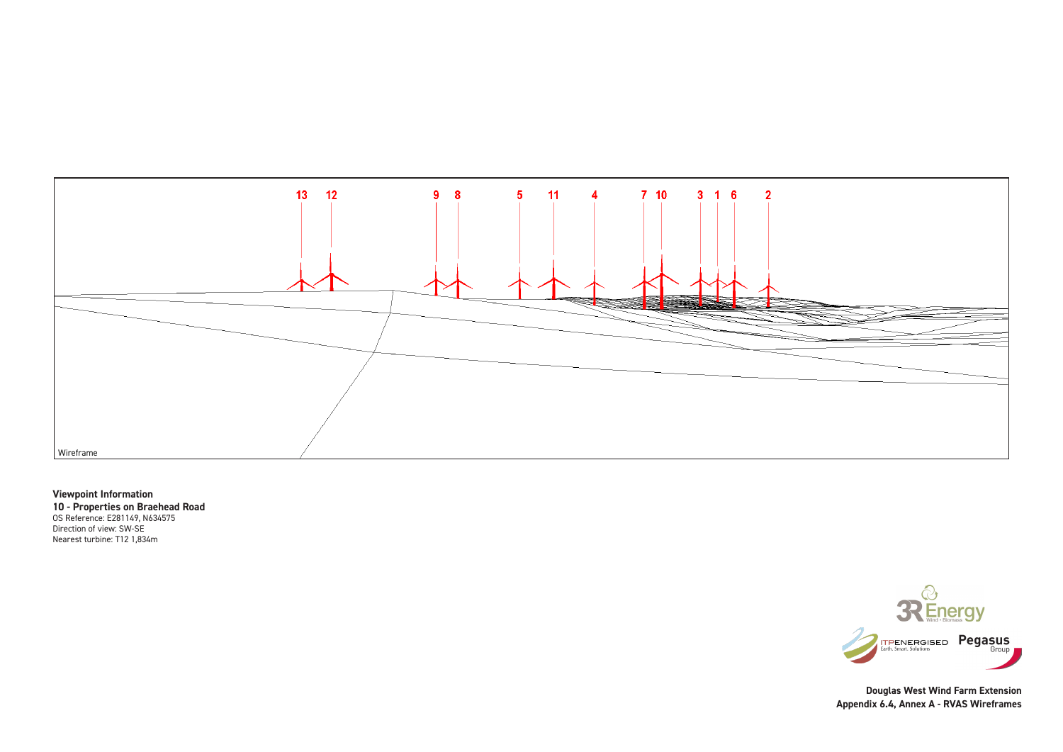## **Viewpoint Information**

**10 - Properties on Braehead Road** OS Reference: E281149, N634575 Direction of view: SW-SE Nearest turbine: T12 1,834m



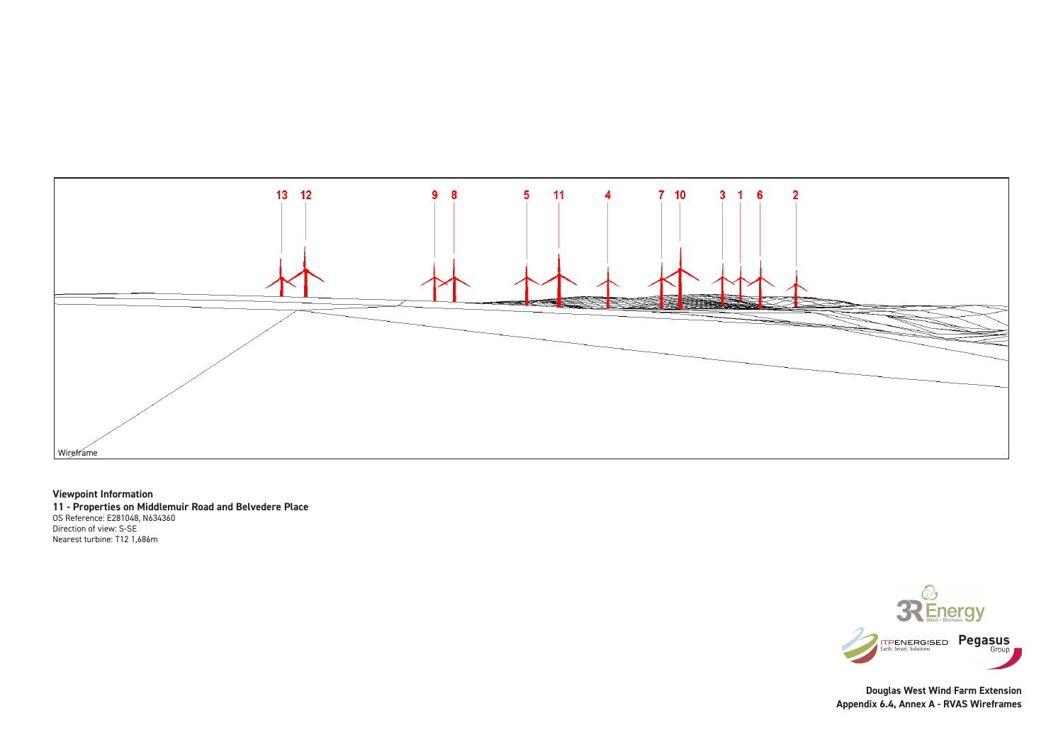## **Viewpoint Information**

**11 - Properties on Middlemuir Road and Belvedere Place** OS Reference: E281048, N634360 Direction of view: S-SE Nearest turbine: T12 1,686m